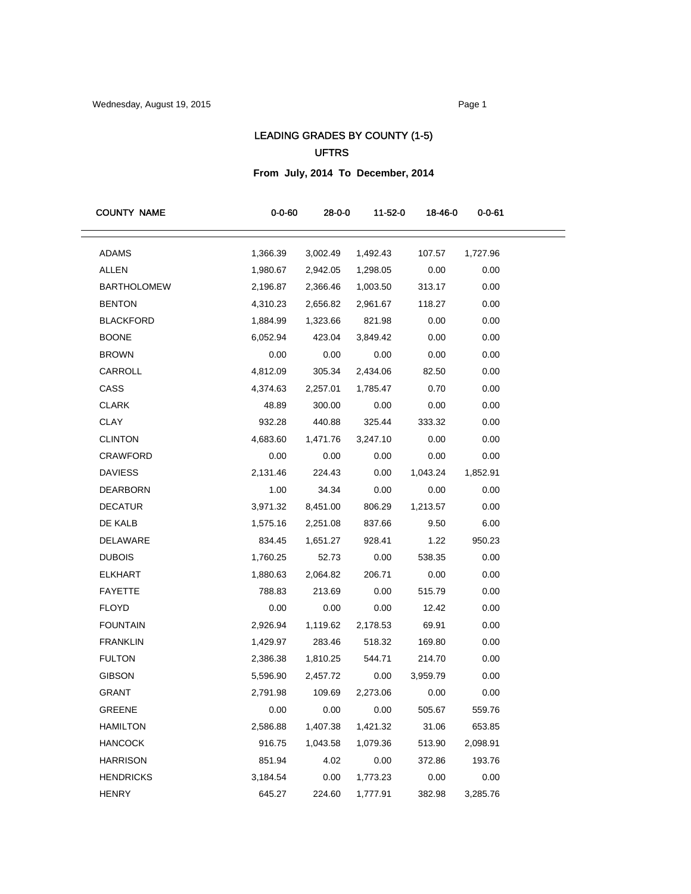## LEADING GRADES BY COUNTY (1-5) UFTRS

## **From July, 2014 To December, 2014**

| <b>COUNTY NAME</b> | $0 - 0 - 60$ | 28-0-0   | 11-52-0   | 18-46-0  | 0-0-61   |
|--------------------|--------------|----------|-----------|----------|----------|
| <b>ADAMS</b>       | 1,366.39     | 3,002.49 | 1,492.43  | 107.57   | 1,727.96 |
| ALLEN              | 1,980.67     | 2,942.05 | 1,298.05  | 0.00     | 0.00     |
| <b>BARTHOLOMEW</b> | 2,196.87     | 2,366.46 | 1,003.50  | 313.17   | 0.00     |
| <b>BENTON</b>      | 4,310.23     | 2,656.82 | 2,961.67  | 118.27   | 0.00     |
| <b>BLACKFORD</b>   | 1,884.99     | 1,323.66 | 821.98    | 0.00     | 0.00     |
| <b>BOONE</b>       | 6,052.94     | 423.04   | 3,849.42  | 0.00     | 0.00     |
| <b>BROWN</b>       | 0.00         | 0.00     | 0.00      | 0.00     | 0.00     |
| CARROLL            | 4,812.09     | 305.34   | 2,434.06  | 82.50    | 0.00     |
| CASS               | 4,374.63     | 2,257.01 | 1,785.47  | 0.70     | 0.00     |
| <b>CLARK</b>       | 48.89        | 300.00   | 0.00      | 0.00     | 0.00     |
| <b>CLAY</b>        | 932.28       | 440.88   | 325.44    | 333.32   | 0.00     |
| <b>CLINTON</b>     | 4,683.60     | 1,471.76 | 3,247.10  | 0.00     | 0.00     |
| <b>CRAWFORD</b>    | 0.00         | 0.00     | 0.00      | 0.00     | 0.00     |
| <b>DAVIESS</b>     | 2,131.46     | 224.43   | 0.00      | 1,043.24 | 1,852.91 |
| <b>DEARBORN</b>    | 1.00         | 34.34    | 0.00      | 0.00     | 0.00     |
| <b>DECATUR</b>     | 3,971.32     | 8,451.00 | 806.29    | 1,213.57 | 0.00     |
| DE KALB            | 1,575.16     | 2,251.08 | 837.66    | 9.50     | 6.00     |
| DELAWARE           | 834.45       | 1,651.27 | 928.41    | 1.22     | 950.23   |
| <b>DUBOIS</b>      | 1,760.25     | 52.73    | 0.00      | 538.35   | 0.00     |
| <b>ELKHART</b>     | 1,880.63     | 2,064.82 | 206.71    | 0.00     | 0.00     |
| <b>FAYETTE</b>     | 788.83       | 213.69   | 0.00      | 515.79   | 0.00     |
| <b>FLOYD</b>       | 0.00         | 0.00     | 0.00      | 12.42    | 0.00     |
| <b>FOUNTAIN</b>    | 2,926.94     | 1,119.62 | 2,178.53  | 69.91    | 0.00     |
| <b>FRANKLIN</b>    | 1,429.97     | 283.46   | 518.32    | 169.80   | 0.00     |
| <b>FULTON</b>      | 2,386.38     | 1,810.25 | 544.71    | 214.70   | 0.00     |
| <b>GIBSON</b>      | 5,596.90     | 2,457.72 | 0.00      | 3,959.79 | 0.00     |
| GRANT              | 2,791.98     | 109.69   | 2,273.06  | 0.00     | 0.00     |
| <b>GREENE</b>      | 0.00         |          | 0.00 0.00 | 505.67   | 559.76   |
| <b>HAMILTON</b>    | 2,586.88     | 1,407.38 | 1,421.32  | 31.06    | 653.85   |
| <b>HANCOCK</b>     | 916.75       | 1,043.58 | 1,079.36  | 513.90   | 2,098.91 |
| <b>HARRISON</b>    | 851.94       | 4.02     | 0.00      | 372.86   | 193.76   |
| <b>HENDRICKS</b>   | 3,184.54     | 0.00     | 1,773.23  | 0.00     | 0.00     |
| <b>HENRY</b>       | 645.27       | 224.60   | 1,777.91  | 382.98   | 3,285.76 |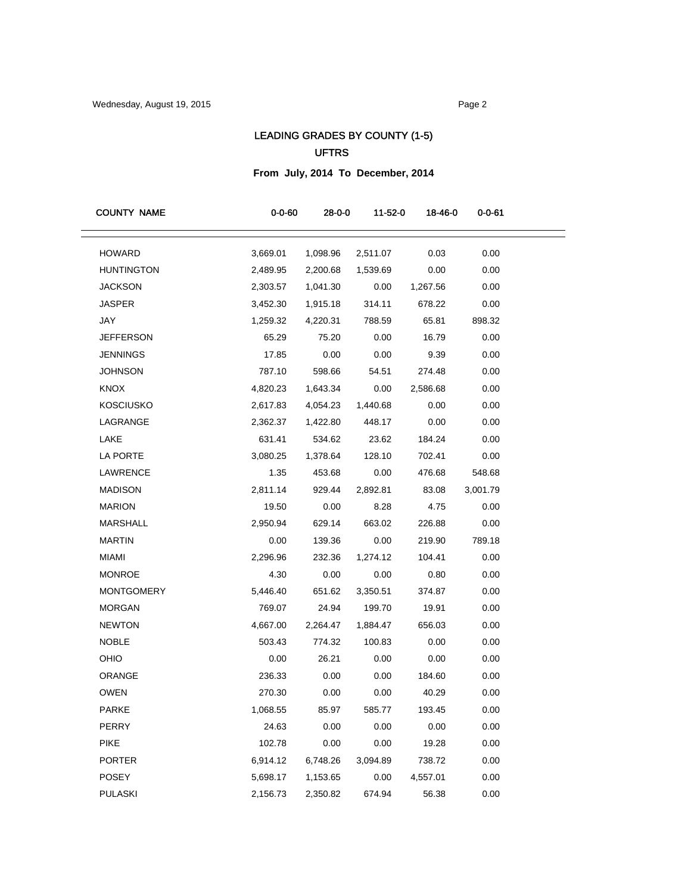## LEADING GRADES BY COUNTY (1-5) UFTRS

**From July, 2014 To December, 2014**

| <b>COUNTY NAME</b> | $0 - 0 - 60$ | $28 - 0 - 0$ | 11-52-0  | 18-46-0  | 0-0-61   |
|--------------------|--------------|--------------|----------|----------|----------|
| <b>HOWARD</b>      | 3,669.01     | 1,098.96     | 2,511.07 | 0.03     | 0.00     |
| <b>HUNTINGTON</b>  | 2,489.95     | 2,200.68     | 1,539.69 | 0.00     | 0.00     |
| <b>JACKSON</b>     | 2,303.57     | 1,041.30     | 0.00     | 1,267.56 | 0.00     |
| <b>JASPER</b>      | 3,452.30     | 1,915.18     | 314.11   | 678.22   | 0.00     |
| JAY                | 1,259.32     | 4,220.31     | 788.59   | 65.81    | 898.32   |
| JEFFERSON          | 65.29        | 75.20        | 0.00     | 16.79    | 0.00     |
| JENNINGS           | 17.85        | 0.00         | 0.00     | 9.39     | 0.00     |
| <b>JOHNSON</b>     | 787.10       | 598.66       | 54.51    | 274.48   | 0.00     |
| <b>KNOX</b>        | 4,820.23     | 1,643.34     | 0.00     | 2,586.68 | 0.00     |
| <b>KOSCIUSKO</b>   | 2,617.83     | 4,054.23     | 1,440.68 | 0.00     | 0.00     |
| LAGRANGE           | 2,362.37     | 1,422.80     | 448.17   | 0.00     | 0.00     |
| LAKE               | 631.41       | 534.62       | 23.62    | 184.24   | 0.00     |
| LA PORTE           | 3,080.25     | 1,378.64     | 128.10   | 702.41   | 0.00     |
| LAWRENCE           | 1.35         | 453.68       | 0.00     | 476.68   | 548.68   |
| <b>MADISON</b>     | 2,811.14     | 929.44       | 2,892.81 | 83.08    | 3,001.79 |
| <b>MARION</b>      | 19.50        | 0.00         | 8.28     | 4.75     | 0.00     |
| <b>MARSHALL</b>    | 2,950.94     | 629.14       | 663.02   | 226.88   | 0.00     |
| <b>MARTIN</b>      | 0.00         | 139.36       | 0.00     | 219.90   | 789.18   |
| <b>MIAMI</b>       | 2,296.96     | 232.36       | 1,274.12 | 104.41   | 0.00     |
| <b>MONROE</b>      | 4.30         | 0.00         | 0.00     | 0.80     | 0.00     |
| <b>MONTGOMERY</b>  | 5,446.40     | 651.62       | 3,350.51 | 374.87   | 0.00     |
| <b>MORGAN</b>      | 769.07       | 24.94        | 199.70   | 19.91    | 0.00     |
| <b>NEWTON</b>      | 4,667.00     | 2,264.47     | 1,884.47 | 656.03   | 0.00     |
| <b>NOBLE</b>       | 503.43       | 774.32       | 100.83   | 0.00     | 0.00     |
| OHIO               | 0.00         | 26.21        | 0.00     | 0.00     | 0.00     |
| ORANGE             | 236.33       | 0.00         | 0.00     | 184.60   | 0.00     |
| <b>OWEN</b>        | 270.30       | 0.00         | 0.00     | 40.29    | 0.00     |
| PARKE              | 1,068.55     | 85.97        | 585.77   | 193.45   | 0.00     |
| PERRY              | 24.63        | 0.00         | 0.00     | 0.00     | 0.00     |
| <b>PIKE</b>        | 102.78       | 0.00         | 0.00     | 19.28    | 0.00     |
| <b>PORTER</b>      | 6,914.12     | 6,748.26     | 3,094.89 | 738.72   | 0.00     |
| POSEY              | 5,698.17     | 1,153.65     | 0.00     | 4,557.01 | 0.00     |
| <b>PULASKI</b>     | 2,156.73     | 2,350.82     | 674.94   | 56.38    | 0.00     |